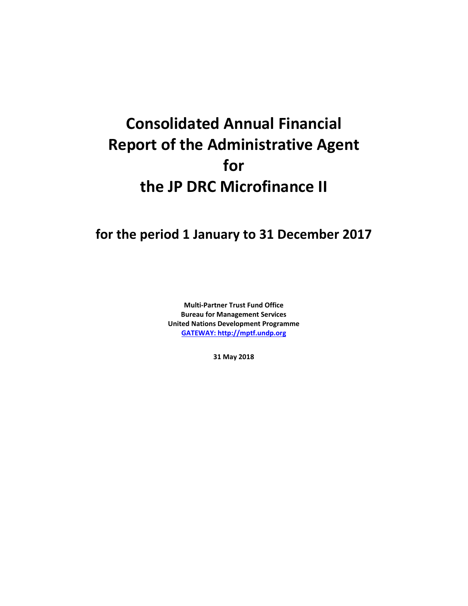# **Consolidated Annual Financial Report of the Administrative Agent for the JP DRC Microfinance II**

# **for the period 1 January to 31 December 2017**

**Multi-Partner Trust Fund Office Bureau for Management Services United Nations Development Programme [GATEWAY: http://mptf.undp.org](http://mptf.undp.org/)**

**31 May 2018**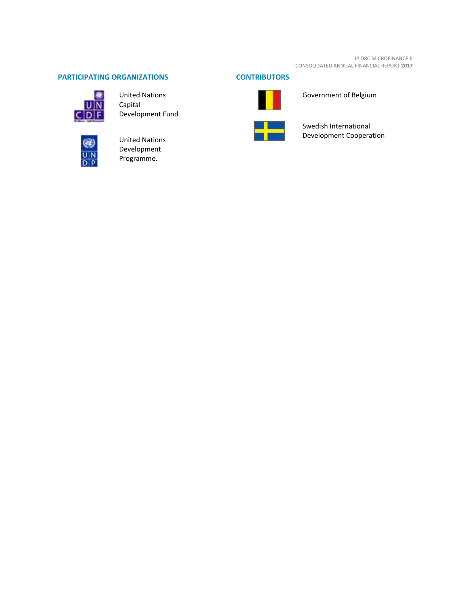JP DRC MICROFINANCE II CONSOLIDATED ANNUAL FINANCIAL REPORT **2017**

# **PARTICIPATING ORGANIZATIONS CONTRIBUTORS**



United Nations Capital Development Fund



United Nations Development Programme.





Government of Belgium



Swedish International Development Cooperation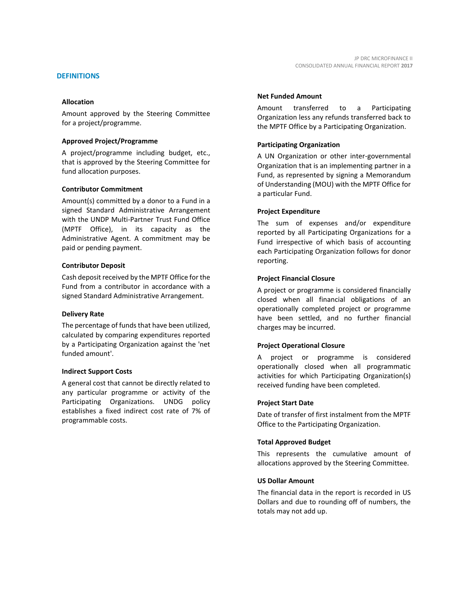Amount approved by the Steering Committee for a project/programme.

# **Approved Project/Programme**

A project/programme including budget, etc., that is approved by the Steering Committee for fund allocation purposes.

# **Contributor Commitment**

Amount(s) committed by a donor to a Fund in a signed Standard Administrative Arrangement with the UNDP Multi-Partner Trust Fund Office (MPTF Office), in its capacity as the Administrative Agent. A commitment may be paid or pending payment.

#### **Contributor Deposit**

Cash deposit received by the MPTF Office for the Fund from a contributor in accordance with a signed Standard Administrative Arrangement.

#### **Delivery Rate**

The percentage of funds that have been utilized, calculated by comparing expenditures reported by a Participating Organization against the 'net funded amount'.

# **Indirect Support Costs**

A general cost that cannot be directly related to any particular programme or activity of the Participating Organizations. UNDG policy establishes a fixed indirect cost rate of 7% of programmable costs.

# **Net Funded Amount**

Amount transferred to a Participating Organization less any refunds transferred back to the MPTF Office by a Participating Organization.

# **Participating Organization**

A UN Organization or other inter-governmental Organization that is an implementing partner in a Fund, as represented by signing a Memorandum of Understanding (MOU) with the MPTF Office for a particular Fund.

#### **Project Expenditure**

The sum of expenses and/or expenditure reported by all Participating Organizations for a Fund irrespective of which basis of accounting each Participating Organization follows for donor reporting.

# **Project Financial Closure**

A project or programme is considered financially closed when all financial obligations of an operationally completed project or programme have been settled, and no further financial charges may be incurred.

# **Project Operational Closure**

A project or programme is considered operationally closed when all programmatic activities for which Participating Organization(s) received funding have been completed.

#### **Project Start Date**

Date of transfer of first instalment from the MPTF Office to the Participating Organization.

# **Total Approved Budget**

This represents the cumulative amount of allocations approved by the Steering Committee.

## **US Dollar Amount**

The financial data in the report is recorded in US Dollars and due to rounding off of numbers, the totals may not add up.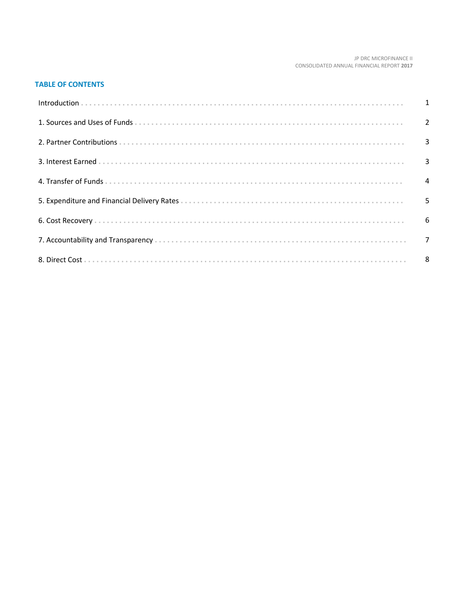#### JP DRC MICROFINANCE II CONSOLIDATED ANNUAL FINANCIAL REPORT 2017

# **TABLE OF CONTENTS**

| Introduction 1 1 |   |
|------------------|---|
|                  |   |
|                  |   |
|                  |   |
|                  |   |
|                  | 5 |
|                  |   |
|                  |   |
|                  |   |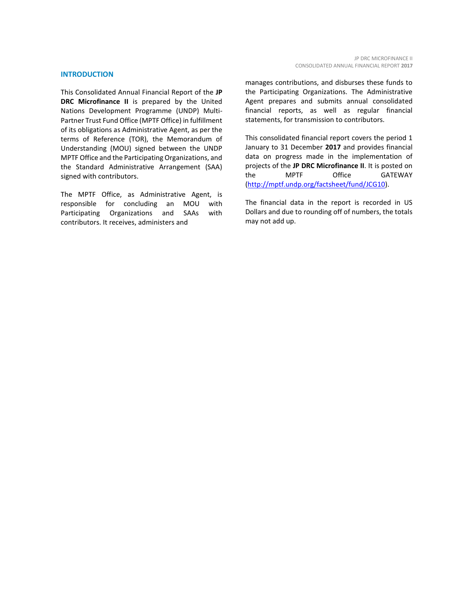#### **INTRODUCTION**

This Consolidated Annual Financial Report of the **JP DRC Microfinance II** is prepared by the United Nations Development Programme (UNDP) Multi-Partner Trust Fund Office (MPTF Office) in fulfillment of its obligations as Administrative Agent, as per the terms of Reference (TOR), the Memorandum of Understanding (MOU) signed between the UNDP MPTF Office and the Participating Organizations, and the Standard Administrative Arrangement (SAA) signed with contributors.

The MPTF Office, as Administrative Agent, is responsible for concluding an MOU with Participating Organizations and SAAs with contributors. It receives, administers and

manages contributions, and disburses these funds to the Participating Organizations. The Administrative Agent prepares and submits annual consolidated financial reports, as well as regular financial statements, for transmission to contributors.

This consolidated financial report covers the period 1 January to 31 December **2017** and provides financial data on progress made in the implementation of projects of the **JP DRC Microfinance II**. It is posted on the MPTF Office GATEWAY [\(http://mptf.undp.org/factsheet/fund/JCG10\)](http://mptf.undp.org/factsheet/fund/JCG10).

The financial data in the report is recorded in US Dollars and due to rounding off of numbers, the totals may not add up.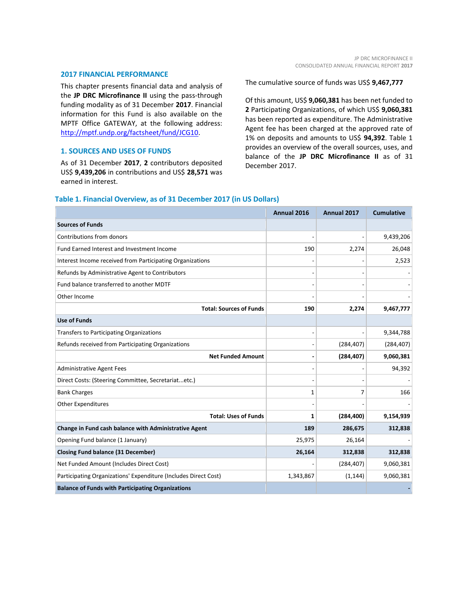#### **2017 FINANCIAL PERFORMANCE**

This chapter presents financial data and analysis of the **JP DRC Microfinance II** using the pass-through funding modality as of 31 December **2017**. Financial information for this Fund is also available on the MPTF Office GATEWAY, at the following address: [http://mptf.undp.org/factsheet/fund/JCG10.](http://mptf.undp.org/factsheet/fund/JCG10)

# **1. SOURCES AND USES OF FUNDS**

As of 31 December **2017**, **2** contributors deposited US\$ **9,439,206** in contributions and US\$ **28,571** was earned in interest.

The cumulative source of funds was US\$ **9,467,777**

Of this amount, US\$ **9,060,381** has been net funded to **2** Participating Organizations, of which US\$ **9,060,381** has been reported as expenditure. The Administrative Agent fee has been charged at the approved rate of 1% on deposits and amounts to US\$ **94,392**. Table 1 provides an overview of the overall sources, uses, and balance of the **JP DRC Microfinance II** as of 31 December 2017.

# **Table 1. Financial Overview, as of 31 December 2017 (in US Dollars)**

|                                                                 | Annual 2016 | Annual 2017 | <b>Cumulative</b> |
|-----------------------------------------------------------------|-------------|-------------|-------------------|
| <b>Sources of Funds</b>                                         |             |             |                   |
| Contributions from donors                                       |             |             | 9,439,206         |
| Fund Earned Interest and Investment Income                      | 190         | 2,274       | 26,048            |
| Interest Income received from Participating Organizations       |             |             | 2,523             |
| Refunds by Administrative Agent to Contributors                 |             |             |                   |
| Fund balance transferred to another MDTF                        |             |             |                   |
| Other Income                                                    |             |             |                   |
| <b>Total: Sources of Funds</b>                                  | 190         | 2,274       | 9,467,777         |
| <b>Use of Funds</b>                                             |             |             |                   |
| Transfers to Participating Organizations                        |             |             | 9,344,788         |
| Refunds received from Participating Organizations               |             | (284, 407)  | (284, 407)        |
| <b>Net Funded Amount</b>                                        |             | (284, 407)  | 9,060,381         |
| <b>Administrative Agent Fees</b>                                |             |             | 94,392            |
| Direct Costs: (Steering Committee, Secretariatetc.)             |             |             |                   |
| <b>Bank Charges</b>                                             | 1           | 7           | 166               |
| <b>Other Expenditures</b>                                       |             |             |                   |
| <b>Total: Uses of Funds</b>                                     | 1           | (284, 400)  | 9,154,939         |
| Change in Fund cash balance with Administrative Agent           | 189         | 286,675     | 312,838           |
| Opening Fund balance (1 January)                                | 25,975      | 26,164      |                   |
| <b>Closing Fund balance (31 December)</b>                       | 26,164      | 312,838     | 312,838           |
| Net Funded Amount (Includes Direct Cost)                        |             | (284, 407)  | 9,060,381         |
| Participating Organizations' Expenditure (Includes Direct Cost) | 1,343,867   | (1, 144)    | 9,060,381         |
| <b>Balance of Funds with Participating Organizations</b>        |             |             |                   |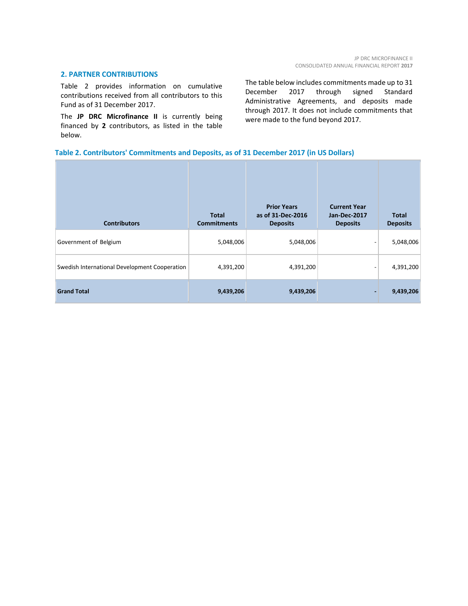# **2. PARTNER CONTRIBUTIONS**

Table 2 provides information on cumulative contributions received from all contributors to this Fund as of 31 December 2017.

The **JP DRC Microfinance II** is currently being financed by **2** contributors, as listed in the table below.

The table below includes commitments made up to 31 December 2017 through signed Standard Administrative Agreements, and deposits made through 2017. It does not include commitments that were made to the fund beyond 2017.

# **Table 2. Contributors' Commitments and Deposits, as of 31 December 2017 (in US Dollars)**

| <b>Contributors</b>                           | <b>Total</b><br><b>Commitments</b> | <b>Prior Years</b><br>as of 31-Dec-2016<br><b>Deposits</b> | <b>Current Year</b><br><b>Jan-Dec-2017</b><br><b>Deposits</b> | <b>Total</b><br><b>Deposits</b> |
|-----------------------------------------------|------------------------------------|------------------------------------------------------------|---------------------------------------------------------------|---------------------------------|
| Government of Belgium                         | 5,048,006                          | 5,048,006                                                  |                                                               | 5,048,006                       |
| Swedish International Development Cooperation | 4,391,200                          | 4,391,200                                                  | $\overline{\phantom{0}}$                                      | 4,391,200                       |
| <b>Grand Total</b>                            | 9,439,206                          | 9,439,206                                                  |                                                               | 9,439,206                       |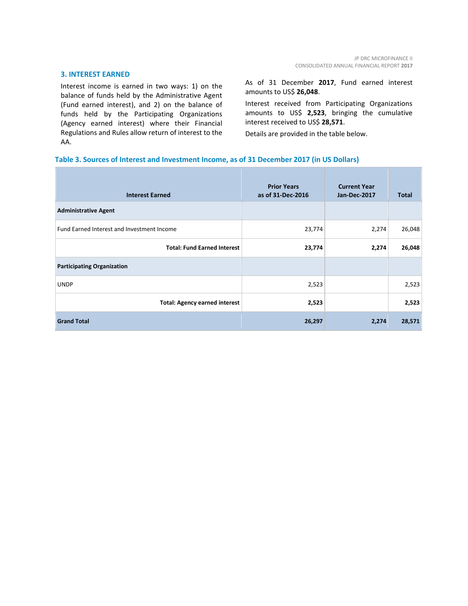#### **3. INTEREST EARNED**

Interest income is earned in two ways: 1) on the balance of funds held by the Administrative Agent (Fund earned interest), and 2) on the balance of funds held by the Participating Organizations (Agency earned interest) where their Financial Regulations and Rules allow return of interest to the AA.

As of 31 December **2017**, Fund earned interest amounts to US\$ **26,048**.

Interest received from Participating Organizations amounts to US\$ **2,523**, bringing the cumulative interest received to US\$ **28,571**.

Details are provided in the table below.

# **Table 3. Sources of Interest and Investment Income, as of 31 December 2017 (in US Dollars)**

| <b>Interest Earned</b>                     | <b>Prior Years</b><br>as of 31-Dec-2016 | <b>Current Year</b><br><b>Jan-Dec-2017</b> | <b>Total</b> |
|--------------------------------------------|-----------------------------------------|--------------------------------------------|--------------|
| <b>Administrative Agent</b>                |                                         |                                            |              |
| Fund Earned Interest and Investment Income | 23,774                                  | 2,274                                      | 26,048       |
| <b>Total: Fund Earned Interest</b>         | 23,774                                  | 2,274                                      | 26,048       |
| <b>Participating Organization</b>          |                                         |                                            |              |
| <b>UNDP</b>                                | 2,523                                   |                                            | 2,523        |
| <b>Total: Agency earned interest</b>       | 2,523                                   |                                            | 2,523        |
| <b>Grand Total</b>                         | 26,297                                  | 2,274                                      | 28,571       |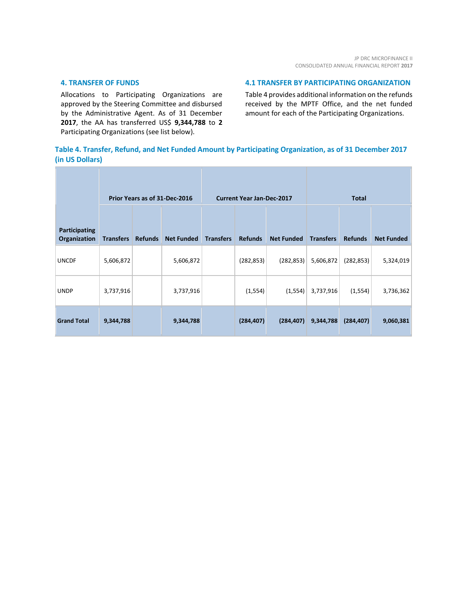# **4. TRANSFER OF FUNDS**

Allocations to Participating Organizations are approved by the Steering Committee and disbursed by the Administrative Agent. As of 31 December **2017**, the AA has transferred US\$ **9,344,788** to **2** Participating Organizations (see list below).

# **4.1 TRANSFER BY PARTICIPATING ORGANIZATION**

Table 4 provides additional information on the refunds received by the MPTF Office, and the net funded amount for each of the Participating Organizations.

# **Table 4. Transfer, Refund, and Net Funded Amount by Participating Organization, as of 31 December 2017 (in US Dollars)**

|                                      | Prior Years as of 31-Dec-2016 |                |                   |                  | <b>Current Year Jan-Dec-2017</b><br><b>Total</b> |                   |                  |                |                   |
|--------------------------------------|-------------------------------|----------------|-------------------|------------------|--------------------------------------------------|-------------------|------------------|----------------|-------------------|
| <b>Participating</b><br>Organization | <b>Transfers</b>              | <b>Refunds</b> | <b>Net Funded</b> | <b>Transfers</b> | <b>Refunds</b>                                   | <b>Net Funded</b> | <b>Transfers</b> | <b>Refunds</b> | <b>Net Funded</b> |
| <b>UNCDF</b>                         | 5,606,872                     |                | 5,606,872         |                  | (282, 853)                                       | (282, 853)        | 5,606,872        | (282, 853)     | 5,324,019         |
| <b>UNDP</b>                          | 3,737,916                     |                | 3,737,916         |                  | (1, 554)                                         | (1, 554)          | 3,737,916        | (1, 554)       | 3,736,362         |
| <b>Grand Total</b>                   | 9,344,788                     |                | 9,344,788         |                  | (284, 407)                                       | (284, 407)        | 9,344,788        | (284, 407)     | 9,060,381         |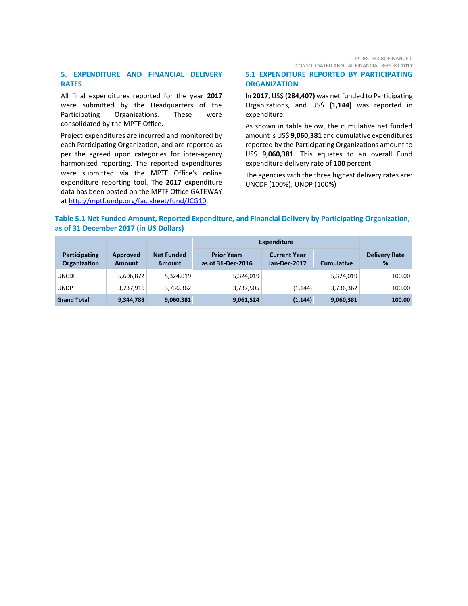JP DRC MICROFINANCE II CONSOLIDATED ANNUAL FINANCIAL REPORT **2017**

# **5. EXPENDITURE AND FINANCIAL DELIVERY RATES**

All final expenditures reported for the year **2017** were submitted by the Headquarters of the Participating Organizations. These were consolidated by the MPTF Office.

Project expenditures are incurred and monitored by each Participating Organization, and are reported as per the agreed upon categories for inter-agency harmonized reporting. The reported expenditures were submitted via the MPTF Office's online expenditure reporting tool. The **2017** expenditure data has been posted on the MPTF Office GATEWAY at [http://mptf.undp.org/factsheet/fund/JCG10.](http://mptf.undp.org/factsheet/fund/JCG10)

# **5.1 EXPENDITURE REPORTED BY PARTICIPATING ORGANIZATION**

In **2017**, US\$ **(284,407)** was net funded to Participating Organizations, and US\$ **(1,144)** was reported in expenditure.

As shown in table below, the cumulative net funded amount is US\$ **9,060,381** and cumulative expenditures reported by the Participating Organizations amount to US\$ **9,060,381**. This equates to an overall Fund expenditure delivery rate of **100** percent.

The agencies with the three highest delivery rates are: UNCDF (100%), UNDP (100%)

# **Table 5.1 Net Funded Amount, Reported Expenditure, and Financial Delivery by Participating Organization, as of 31 December 2017 (in US Dollars)**

|                                             |                           |                                    | <b>Expenditure</b>                      |                                     |                   |                           |
|---------------------------------------------|---------------------------|------------------------------------|-----------------------------------------|-------------------------------------|-------------------|---------------------------|
| <b>Participating</b><br><b>Organization</b> | Approved<br><b>Amount</b> | <b>Net Funded</b><br><b>Amount</b> | <b>Prior Years</b><br>as of 31-Dec-2016 | <b>Current Year</b><br>Jan-Dec-2017 | <b>Cumulative</b> | <b>Delivery Rate</b><br>% |
| <b>UNCDF</b>                                | 5,606,872                 | 5,324,019                          | 5,324,019                               |                                     | 5,324,019         | 100.00                    |
| <b>UNDP</b>                                 | 3,737,916                 | 3,736,362                          | 3,737,505                               | (1, 144)                            | 3,736,362         | 100.00                    |
| <b>Grand Total</b>                          | 9,344,788                 | 9,060,381                          | 9,061,524                               | (1, 144)                            | 9,060,381         | 100.00                    |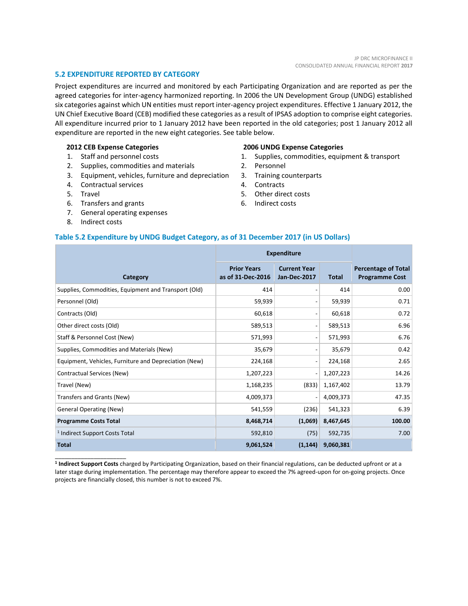# **5.2 EXPENDITURE REPORTED BY CATEGORY**

Project expenditures are incurred and monitored by each Participating Organization and are reported as per the agreed categories for inter-agency harmonized reporting. In 2006 the UN Development Group (UNDG) established six categories against which UN entities must report inter-agency project expenditures. Effective 1 January 2012, the UN Chief Executive Board (CEB) modified these categories as a result of IPSAS adoption to comprise eight categories. All expenditure incurred prior to 1 January 2012 have been reported in the old categories; post 1 January 2012 all expenditure are reported in the new eight categories. See table below.

#### **2012 CEB Expense Categories**

- 1. Staff and personnel costs
- 2. Supplies, commodities and materials
- 3. Equipment, vehicles, furniture and depreciation
- 4. Contractual services
- 5. Travel
- 6. Transfers and grants
- 7. General operating expenses
- 8. Indirect costs

\_\_\_\_\_\_\_\_\_\_\_\_\_\_\_\_\_\_\_\_\_\_

#### **2006 UNDG Expense Categories**

- 1. Supplies, commodities, equipment & transport
- 2. Personnel
- 3. Training counterparts
- 4. Contracts
- 5. Other direct costs
- 6. Indirect costs

# **Table 5.2 Expenditure by UNDG Budget Category, as of 31 December 2017 (in US Dollars)**

|                                                       | <b>Expenditure</b>                      |                                     |              |                                                     |
|-------------------------------------------------------|-----------------------------------------|-------------------------------------|--------------|-----------------------------------------------------|
| Category                                              | <b>Prior Years</b><br>as of 31-Dec-2016 | <b>Current Year</b><br>Jan-Dec-2017 | <b>Total</b> | <b>Percentage of Total</b><br><b>Programme Cost</b> |
| Supplies, Commodities, Equipment and Transport (Old)  | 414                                     |                                     | 414          | 0.00                                                |
| Personnel (Old)                                       | 59,939                                  | $\overline{\phantom{a}}$            | 59,939       | 0.71                                                |
| Contracts (Old)                                       | 60,618                                  | $\overline{\phantom{a}}$            | 60,618       | 0.72                                                |
| Other direct costs (Old)                              | 589,513                                 | $\qquad \qquad \blacksquare$        | 589,513      | 6.96                                                |
| Staff & Personnel Cost (New)                          | 571,993                                 | $\qquad \qquad \blacksquare$        | 571,993      | 6.76                                                |
| Supplies, Commodities and Materials (New)             | 35,679                                  | $\overline{\phantom{a}}$            | 35,679       | 0.42                                                |
| Equipment, Vehicles, Furniture and Depreciation (New) | 224,168                                 | $\qquad \qquad \blacksquare$        | 224,168      | 2.65                                                |
| Contractual Services (New)                            | 1,207,223                               | $\overline{a}$                      | 1,207,223    | 14.26                                               |
| Travel (New)                                          | 1,168,235                               | (833)                               | 1,167,402    | 13.79                                               |
| Transfers and Grants (New)                            | 4,009,373                               | $\overline{a}$                      | 4,009,373    | 47.35                                               |
| <b>General Operating (New)</b>                        | 541,559                                 | (236)                               | 541,323      | 6.39                                                |
| <b>Programme Costs Total</b>                          | 8,468,714                               | (1,069)                             | 8,467,645    | 100.00                                              |
| <sup>1</sup> Indirect Support Costs Total             | 592,810                                 | (75)                                | 592,735      | 7.00                                                |
| <b>Total</b>                                          | 9,061,524                               | (1, 144)                            | 9,060,381    |                                                     |

**1 Indirect Support Costs** charged by Participating Organization, based on their financial regulations, can be deducted upfront or at a later stage during implementation. The percentage may therefore appear to exceed the 7% agreed-upon for on-going projects. Once projects are financially closed, this number is not to exceed 7%.